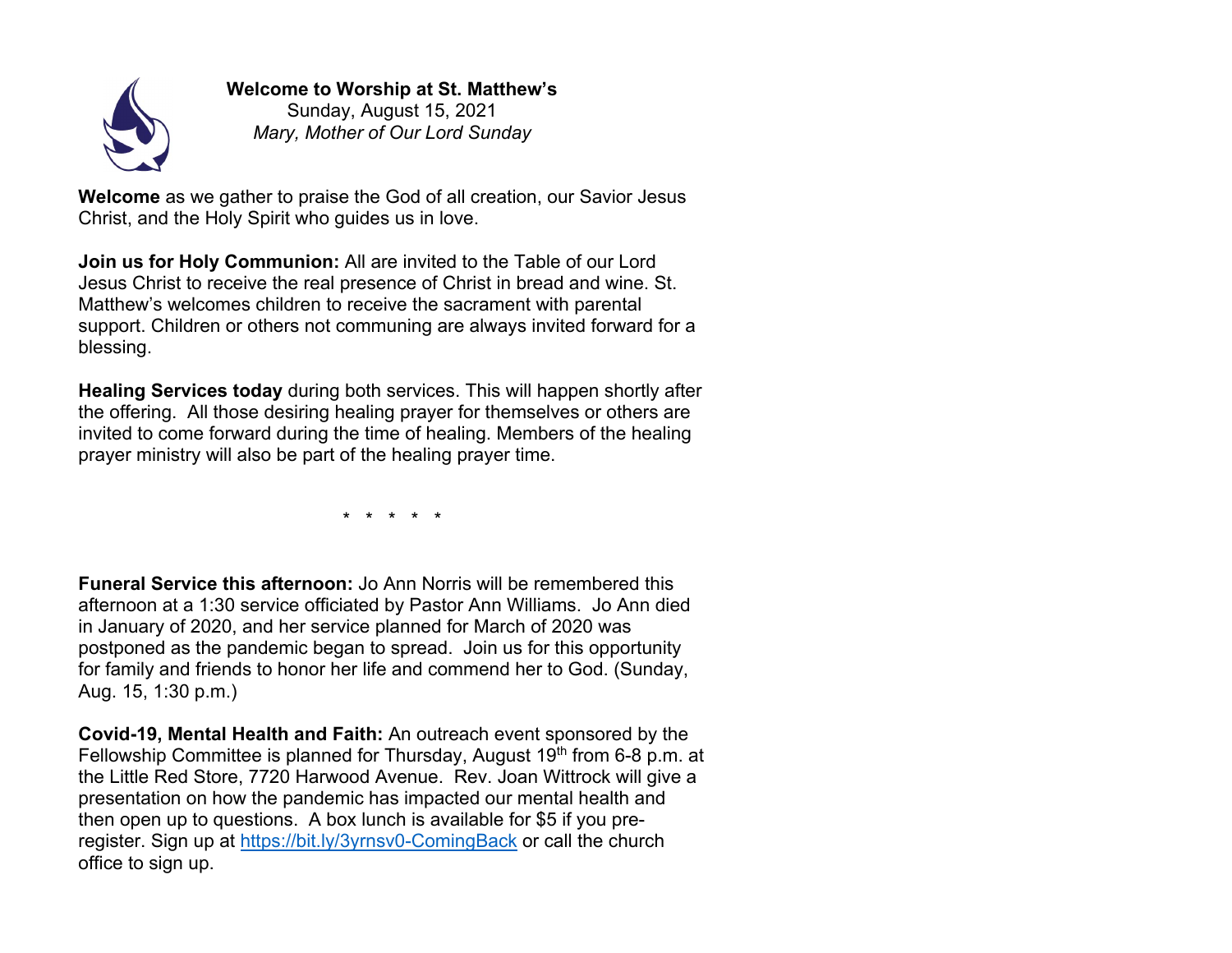

## **Welcome to Worship at St. Matthew's**

Sunday, August 15, 2021 *Mary, Mother of Our Lord Sunday*

**Welcome** as we gather to praise the God of all creation, our Savior Jesus Christ, and the Holy Spirit who guides us in love.

**Join us for Holy Communion:** All are invited to the Table of our Lord Jesus Christ to receive the real presence of Christ in bread and wine. St. Matthew's welcomes children to receive the sacrament with parental support. Children or others not communing are always invited forward for a blessing.

**Healing Services today** during both services. This will happen shortly after the offering. All those desiring healing prayer for themselves or others are invited to come forward during the time of healing. Members of the healing prayer ministry will also be part of the healing prayer time.

\* \* \* \* \*

**Funeral Service this afternoon:** Jo Ann Norris will be remembered this afternoon at a 1:30 service officiated by Pastor Ann Williams. Jo Ann died in January of 2020, and her service planned for March of 2020 was postponed as the pandemic began to spread. Join us for this opportunity for family and friends to honor her life and commend her to God. (Sunday, Aug. 15, 1:30 p.m.)

**Covid-19, Mental Health and Faith:** An outreach event sponsored by the Fellowship Committee is planned for Thursday, August  $19<sup>th</sup>$  from 6-8 p.m. at the Little Red Store, 7720 Harwood Avenue. Rev. Joan Wittrock will give a presentation on how the pandemic has impacted our mental health and then open up to questions. A box lunch is available for \$5 if you preregister. Sign up at https://bit.ly/3yrnsv0-ComingBack or call the church office to sign up.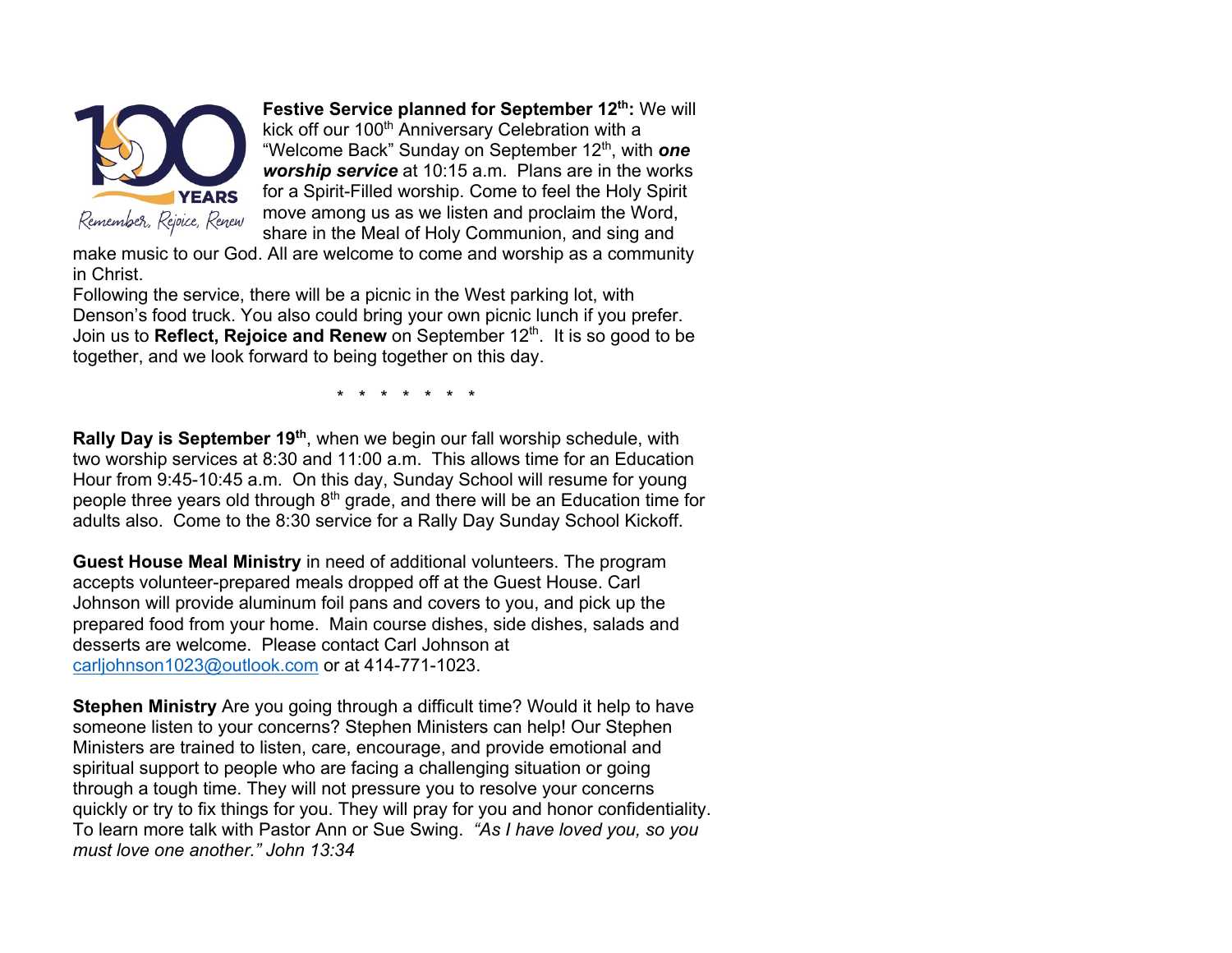

**Festive Service planned for September 12<sup>th</sup>: We will** kick off our 100<sup>th</sup> Anniversary Celebration with a "Welcome Back" Sunday on September 12th, with *one worship service* at 10:15 a.m. Plans are in the works for a Spirit-Filled worship. Come to feel the Holy Spirit move among us as we listen and proclaim the Word, share in the Meal of Holy Communion, and sing and

make music to our God. All are welcome to come and worship as a community in Christ.

Following the service, there will be a picnic in the West parking lot, with Denson's food truck. You also could bring your own picnic lunch if you prefer. Join us to **Reflect, Rejoice and Renew** on September 12<sup>th</sup>. It is so good to be together, and we look forward to being together on this day.

\* \* \* \* \* \* \*

**Rally Day is September 19th**, when we begin our fall worship schedule, with two worship services at 8:30 and 11:00 a.m. This allows time for an Education Hour from 9:45-10:45 a.m. On this day, Sunday School will resume for young people three years old through  $8<sup>th</sup>$  grade, and there will be an Education time for adults also. Come to the 8:30 service for a Rally Day Sunday School Kickoff.

**Guest House Meal Ministry** in need of additional volunteers. The program accepts volunteer-prepared meals dropped off at the Guest House. Carl Johnson will provide aluminum foil pans and covers to you, and pick up the prepared food from your home. Main course dishes, side dishes, salads and desserts are welcome. Please contact Carl Johnson at carljohnson1023@outlook.com or at 414-771-1023.

**Stephen Ministry** Are you going through a difficult time? Would it help to have someone listen to your concerns? Stephen Ministers can help! Our Stephen Ministers are trained to listen, care, encourage, and provide emotional and spiritual support to people who are facing a challenging situation or going through a tough time. They will not pressure you to resolve your concerns quickly or try to fix things for you. They will pray for you and honor confidentiality. To learn more talk with Pastor Ann or Sue Swing. *"As I have loved you, so you must love one another." John 13:34*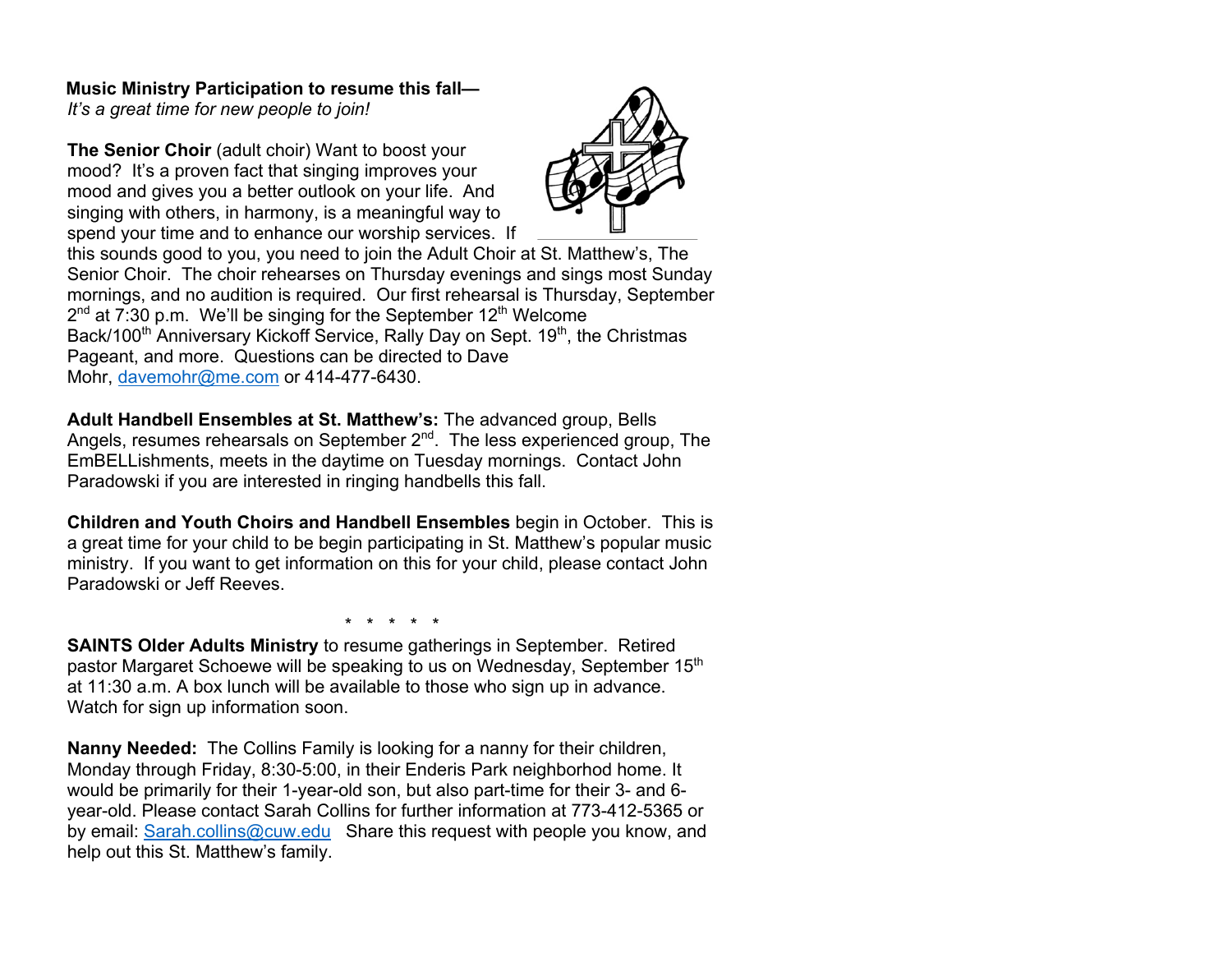## **Music Ministry Participation to resume this fall—**

*It's a great time for new people to join!* 

**The Senior Choir** (adult choir) Want to boost your mood? It's a proven fact that singing improves your mood and gives you a better outlook on your life. And singing with others, in harmony, is a meaningful way to spend your time and to enhance our worship services. If



this sounds good to you, you need to join the Adult Choir at St. Matthew's, The Senior Choir. The choir rehearses on Thursday evenings and sings most Sunday mornings, and no audition is required. Our first rehearsal is Thursday, September  $2<sup>nd</sup>$  at 7:30 p.m. We'll be singing for the September 12<sup>th</sup> Welcome Back/100<sup>th</sup> Anniversary Kickoff Service, Rally Day on Sept. 19<sup>th</sup>, the Christmas Pageant, and more. Questions can be directed to Dave Mohr, davemohr@me.com or 414-477-6430.

**Adult Handbell Ensembles at St. Matthew's:** The advanced group, Bells Angels, resumes rehearsals on September 2<sup>nd</sup>. The less experienced group, The EmBELLishments, meets in the daytime on Tuesday mornings. Contact John Paradowski if you are interested in ringing handbells this fall.

**Children and Youth Choirs and Handbell Ensembles** begin in October. This is a great time for your child to be begin participating in St. Matthew's popular music ministry. If you want to get information on this for your child, please contact John Paradowski or Jeff Reeves.

\* \* \* \* \*

**SAINTS Older Adults Ministry** to resume gatherings in September. Retired pastor Margaret Schoewe will be speaking to us on Wednesday, September 15<sup>th</sup> at 11:30 a.m. A box lunch will be available to those who sign up in advance. Watch for sign up information soon.

**Nanny Needed:** The Collins Family is looking for a nanny for their children, Monday through Friday, 8:30-5:00, in their Enderis Park neighborhod home. It would be primarily for their 1-year-old son, but also part-time for their 3- and 6 year-old. Please contact Sarah Collins for further information at 773-412-5365 or by email: Sarah.collins@cuw.edu Share this request with people you know, and help out this St. Matthew's family.